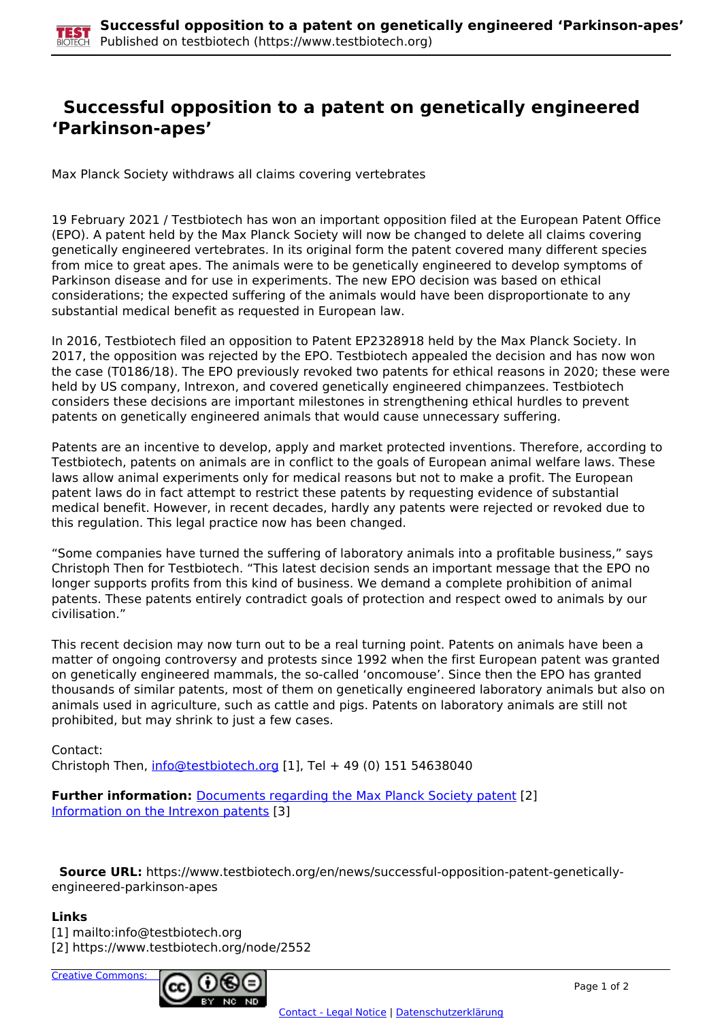## **Successful opposition to a patent on genetically engineered 'Parkinson-apes'**

Max Planck Society withdraws all claims covering vertebrates

19 February 2021 / Testbiotech has won an important opposition filed at the European Patent Office (EPO). A patent held by the Max Planck Society will now be changed to delete all claims covering genetically engineered vertebrates. In its original form the patent covered many different species from mice to great apes. The animals were to be genetically engineered to develop symptoms of Parkinson disease and for use in experiments. The new EPO decision was based on ethical considerations; the expected suffering of the animals would have been disproportionate to any substantial medical benefit as requested in European law.

In 2016, Testbiotech filed an opposition to Patent EP2328918 held by the Max Planck Society. In 2017, the opposition was rejected by the EPO. Testbiotech appealed the decision and has now won the case (T0186/18). The EPO previously revoked two patents for ethical reasons in 2020; these were held by US company, Intrexon, and covered genetically engineered chimpanzees. Testbiotech considers these decisions are important milestones in strengthening ethical hurdles to prevent patents on genetically engineered animals that would cause unnecessary suffering.

Patents are an incentive to develop, apply and market protected inventions. Therefore, according to Testbiotech, patents on animals are in conflict to the goals of European animal welfare laws. These laws allow animal experiments only for medical reasons but not to make a profit. The European patent laws do in fact attempt to restrict these patents by requesting evidence of substantial medical benefit. However, in recent decades, hardly any patents were rejected or revoked due to this regulation. This legal practice now has been changed.

"Some companies have turned the suffering of laboratory animals into a profitable business," says Christoph Then for Testbiotech. "This latest decision sends an important message that the EPO no longer supports profits from this kind of business. We demand a complete prohibition of animal patents. These patents entirely contradict goals of protection and respect owed to animals by our civilisation."

This recent decision may now turn out to be a real turning point. Patents on animals have been a matter of ongoing controversy and protests since 1992 when the first European patent was granted on genetically engineered mammals, the so-called 'oncomouse'. Since then the EPO has granted thousands of similar patents, most of them on genetically engineered laboratory animals but also on animals used in agriculture, such as cattle and pigs. Patents on laboratory animals are still not prohibited, but may shrink to just a few cases.

Contact: Christoph Then, [info@testbiotech.org](mailto:info@testbiotech.org) [1], Tel  $+$  49 (0) 151 54638040

**Further information:** Documents regarding the Max Planck Society patent [2] Information on the Intrexon patents [3]

 **Source URL:** https://www.testbiotech.org/en/news/successful-opposition-patent-geneticallyengineered-parkinson-apes

## **Links**

[1] mailto:info@testbiotech.org [2] https://www.testbiotech.org/node/2552